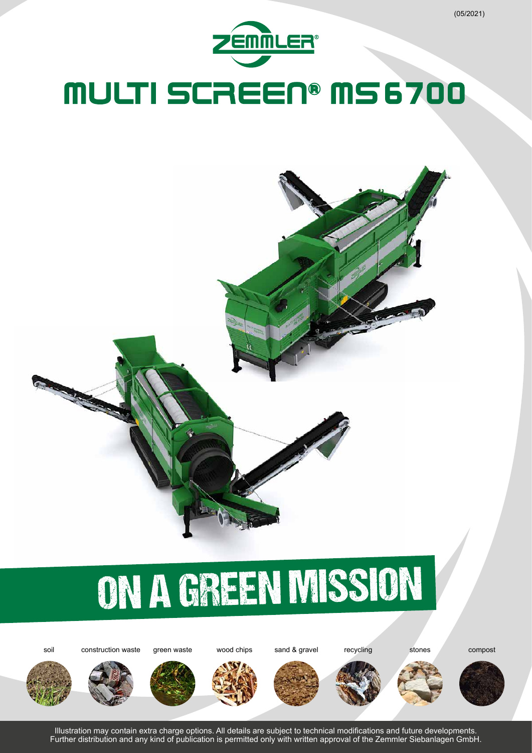





















Illustration may contain extra charge options. All details are subject to technical modifications and future developments. Further distribution and any kind of publication is permitted only with written approval of the Zemmler Siebanlagen GmbH.

(05/2021)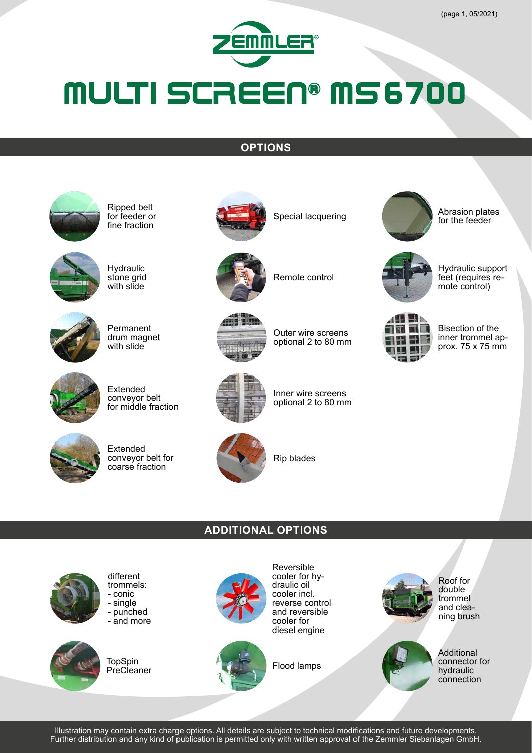

#### **OPTIONS**





- single - punched - and more

different trommels: - conic



**TopSpin PreCleaner** 



Reversible cooler for hydraulic oil cooler incl. reverse control and reversible cooler for diesel engine

Flood lamps







Outer wire screens

Bisection of the<br>inner trommel approx.  $75 \times 75$  mm

Hydraulic support feet (requires re-<br>mote control)

Abrasion plates for the feeder

optional 2 to 80 mm

Inner wire screens optional 2 to 80 mm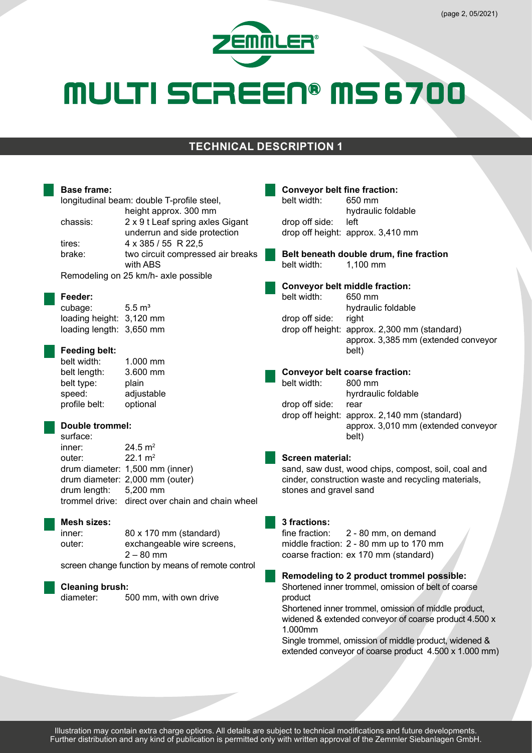

#### **TECHNICAL DESCRIPTION 1**

| <b>Base frame:</b><br>longitudinal beam: double T-profile steel,<br>height approx. 300 mm |                                                                                                                                                                       |  | <b>Conveyor belt fine fraction:</b><br>belt width:<br>650 mm<br>hydraulic foldable                                                                              |                                                                                                                                                                                                                                 |  |  |  |
|-------------------------------------------------------------------------------------------|-----------------------------------------------------------------------------------------------------------------------------------------------------------------------|--|-----------------------------------------------------------------------------------------------------------------------------------------------------------------|---------------------------------------------------------------------------------------------------------------------------------------------------------------------------------------------------------------------------------|--|--|--|
| chassis:<br>tires:                                                                        | 2 x 9 t Leaf spring axles Gigant<br>underrun and side protection<br>4 x 385 / 55 R 22,5                                                                               |  | drop off side:                                                                                                                                                  | left<br>drop off height: approx. 3,410 mm                                                                                                                                                                                       |  |  |  |
| brake:                                                                                    | two circuit compressed air breaks<br>with ABS                                                                                                                         |  | Belt beneath double drum, fine fraction<br>1,100 mm<br>belt width:                                                                                              |                                                                                                                                                                                                                                 |  |  |  |
| Remodeling on 25 km/h- axle possible                                                      |                                                                                                                                                                       |  | <b>Conveyor belt middle fraction:</b>                                                                                                                           |                                                                                                                                                                                                                                 |  |  |  |
| Feeder:<br>cubage:<br>loading height: 3,120 mm<br>loading length: 3,650 mm                | $5.5 \text{ m}^3$                                                                                                                                                     |  | belt width:<br>drop off side:                                                                                                                                   | 650 mm<br>hydraulic foldable<br>right<br>drop off height: approx. 2,300 mm (standard)<br>approx. 3,385 mm (extended conveyor                                                                                                    |  |  |  |
| <b>Feeding belt:</b><br>belt width:<br>belt length:                                       | 1.000 mm<br>3.600 mm                                                                                                                                                  |  |                                                                                                                                                                 | belt)<br><b>Conveyor belt coarse fraction:</b>                                                                                                                                                                                  |  |  |  |
| belt type:<br>speed:<br>profile belt:                                                     | plain<br>adjustable<br>optional                                                                                                                                       |  | belt width:<br>drop off side:                                                                                                                                   | 800 mm<br>hyrdraulic foldable<br>rear<br>drop off height: approx. 2,140 mm (standard)                                                                                                                                           |  |  |  |
| surface:                                                                                  | <b>Double trommel:</b>                                                                                                                                                |  |                                                                                                                                                                 | approx. 3,010 mm (extended conveyor<br>belt)                                                                                                                                                                                    |  |  |  |
| inner:<br>outer:<br>drum length:                                                          | 24.5 $m2$<br>$22.1 \text{ m}^2$<br>drum diameter: 1,500 mm (inner)<br>drum diameter: 2,000 mm (outer)<br>5,200 mm<br>trommel drive: direct over chain and chain wheel |  | <b>Screen material:</b><br>sand, saw dust, wood chips, compost, soil, coal and<br>cinder, construction waste and recycling materials,<br>stones and gravel sand |                                                                                                                                                                                                                                 |  |  |  |
| Mesh sizes:<br>inner:<br>outer:                                                           | 80 x 170 mm (standard)<br>exchangeable wire screens,<br>$2 - 80$ mm<br>screen change function by means of remote control                                              |  | 3 fractions:<br>fine fraction:                                                                                                                                  | 2 - 80 mm, on demand<br>middle fraction: 2 - 80 mm up to 170 mm<br>coarse fraction: ex 170 mm (standard)                                                                                                                        |  |  |  |
| <b>Cleaning brush:</b>                                                                    |                                                                                                                                                                       |  | Remodeling to 2 product trommel possible:<br>Shortened inner trommel, omission of belt of coarse                                                                |                                                                                                                                                                                                                                 |  |  |  |
| diameter:                                                                                 | 500 mm, with own drive                                                                                                                                                |  | product<br>1.000mm                                                                                                                                              | Shortened inner trommel, omission of middle product,<br>widened & extended conveyor of coarse product 4.500 x<br>Single trommel, omission of middle product, widened &<br>extended conveyor of coarse product 4.500 x 1.000 mm) |  |  |  |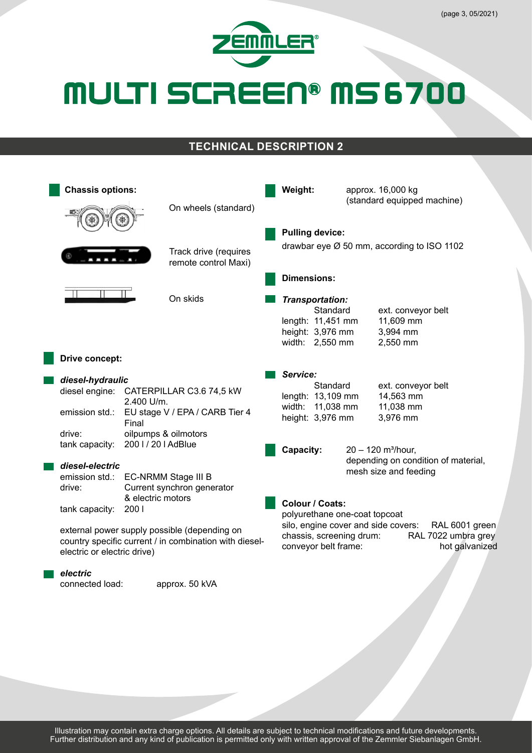

### **TECHNICAL DESCRIPTION 2**

| <b>Chassis options:</b> |                                                                                                                                       |                                                                                   |                                                                       |  | Weight:                                                                                                                                                                             |                                                                       |                                                                                                  | approx. 16,000 kg<br>(standard equipped machine)         |  |  |
|-------------------------|---------------------------------------------------------------------------------------------------------------------------------------|-----------------------------------------------------------------------------------|-----------------------------------------------------------------------|--|-------------------------------------------------------------------------------------------------------------------------------------------------------------------------------------|-----------------------------------------------------------------------|--------------------------------------------------------------------------------------------------|----------------------------------------------------------|--|--|
|                         |                                                                                                                                       |                                                                                   | On wheels (standard)<br>Track drive (requires<br>remote control Maxi) |  | <b>Pulling device:</b><br>drawbar eye Ø 50 mm, according to ISO 1102<br><b>Dimensions:</b>                                                                                          |                                                                       |                                                                                                  |                                                          |  |  |
|                         |                                                                                                                                       |                                                                                   |                                                                       |  |                                                                                                                                                                                     |                                                                       |                                                                                                  |                                                          |  |  |
|                         |                                                                                                                                       |                                                                                   | On skids                                                              |  | Transportation:<br>length: 11,451 mm<br>height: 3,976 mm<br>width: 2,550 mm                                                                                                         | Standard                                                              |                                                                                                  | ext. conveyor belt<br>11,609 mm<br>3,994 mm<br>2,550 mm  |  |  |
|                         | Drive concept:                                                                                                                        |                                                                                   |                                                                       |  | Service:                                                                                                                                                                            |                                                                       |                                                                                                  |                                                          |  |  |
|                         | diesel-hydraulic<br>diesel engine:<br>emission std.:                                                                                  | CATERPILLAR C3.6 74,5 kW<br>2.400 U/m.<br>EU stage V / EPA / CARB Tier 4<br>Final |                                                                       |  |                                                                                                                                                                                     | Standard<br>length: 13,109 mm<br>width: 11,038 mm<br>height: 3,976 mm |                                                                                                  | ext. conveyor belt<br>14,563 mm<br>11,038 mm<br>3,976 mm |  |  |
|                         | drive:<br>tank capacity:<br>diesel-electric                                                                                           | oilpumps & oilmotors<br>2001/201AdBlue                                            |                                                                       |  | Capacity:                                                                                                                                                                           |                                                                       | $20 - 120$ m <sup>3</sup> /hour,<br>depending on condition of material,<br>mesh size and feeding |                                                          |  |  |
|                         | emission std.:<br>drive:<br>tank capacity:                                                                                            | EC-NRMM Stage III B<br>Current synchron generator<br>& electric motors<br>200     |                                                                       |  | Colour / Coats:                                                                                                                                                                     |                                                                       |                                                                                                  |                                                          |  |  |
|                         | external power supply possible (depending on<br>country specific current / in combination with diesel-<br>electric or electric drive) |                                                                                   |                                                                       |  | polyurethane one-coat topcoat<br>silo, engine cover and side covers:<br>RAL 6001 green<br>chassis, screening drum:<br>RAL 7022 umbra grey<br>conveyor belt frame:<br>hot galvanized |                                                                       |                                                                                                  |                                                          |  |  |
|                         | electric                                                                                                                              |                                                                                   |                                                                       |  |                                                                                                                                                                                     |                                                                       |                                                                                                  |                                                          |  |  |

connected load: approx. 50 kVA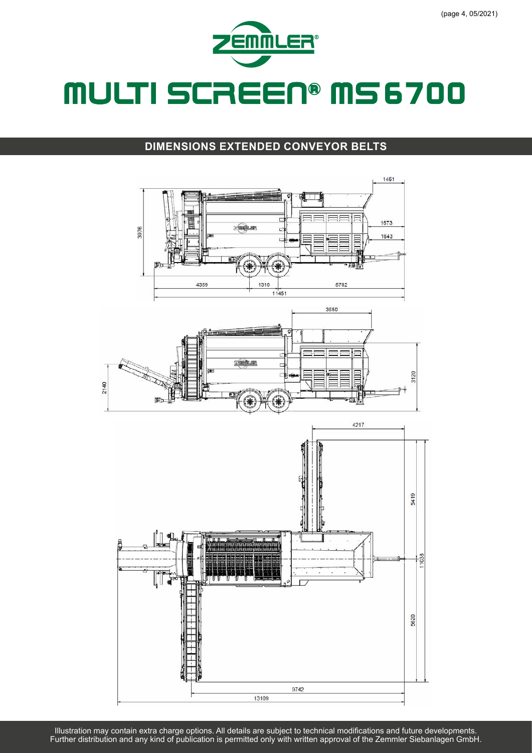

#### **DIMENSIONS EXTENDED CONVEYOR BELTS**

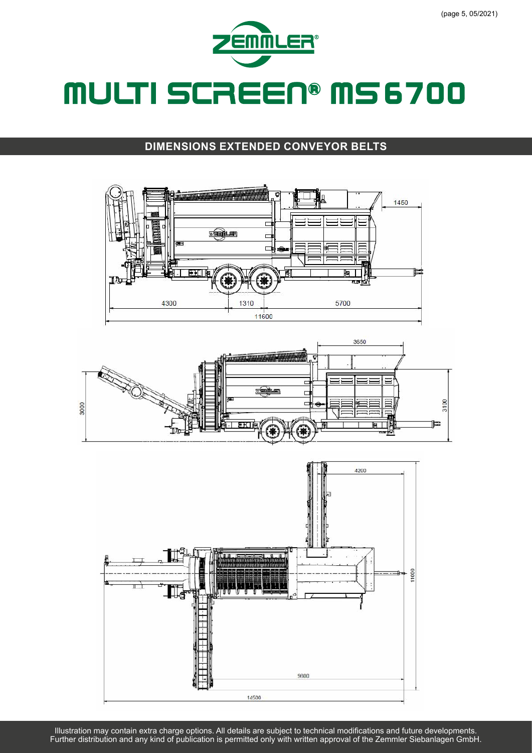

#### **DIMENSIONS EXTENDED CONVEYOR BELTS**